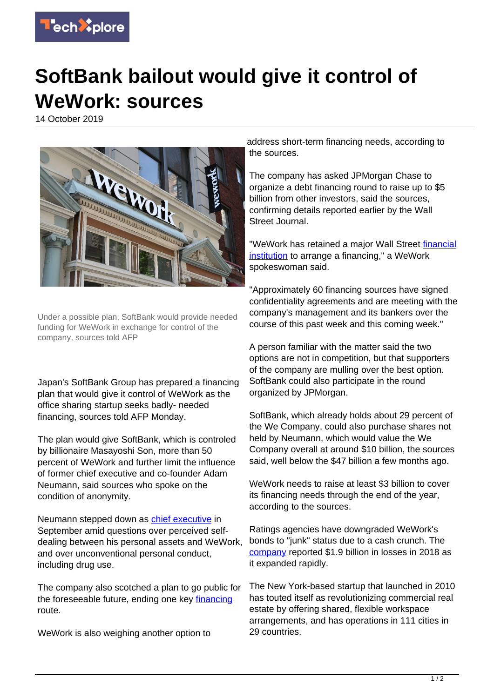

## **SoftBank bailout would give it control of WeWork: sources**

14 October 2019



Under a possible plan, SoftBank would provide needed funding for WeWork in exchange for control of the company, sources told AFP

Japan's SoftBank Group has prepared a financing plan that would give it control of WeWork as the office sharing startup seeks badly- needed financing, sources told AFP Monday.

The plan would give SoftBank, which is controled by billionaire Masayoshi Son, more than 50 percent of WeWork and further limit the influence of former chief executive and co-founder Adam Neumann, said sources who spoke on the condition of anonymity.

Neumann stepped down as [chief executive](https://techxplore.com/tags/chief+executive/) in September amid questions over perceived selfdealing between his personal assets and WeWork, and over unconventional personal conduct, including drug use.

The company also scotched a plan to go public for the foreseeable future, ending one key [financing](https://techxplore.com/tags/financing/) route.

WeWork is also weighing another option to

address short-term financing needs, according to the sources.

The company has asked JPMorgan Chase to organize a debt financing round to raise up to \$5 billion from other investors, said the sources, confirming details reported earlier by the Wall Street Journal.

"WeWork has retained a major Wall Street [financial](https://techxplore.com/tags/financial+institution/) [institution](https://techxplore.com/tags/financial+institution/) to arrange a financing," a WeWork spokeswoman said.

"Approximately 60 financing sources have signed confidentiality agreements and are meeting with the company's management and its bankers over the course of this past week and this coming week."

A person familiar with the matter said the two options are not in competition, but that supporters of the company are mulling over the best option. SoftBank could also participate in the round organized by JPMorgan.

SoftBank, which already holds about 29 percent of the We Company, could also purchase shares not held by Neumann, which would value the We Company overall at around \$10 billion, the sources said, well below the \$47 billion a few months ago.

WeWork needs to raise at least \$3 billion to cover its financing needs through the end of the year, according to the sources.

Ratings agencies have downgraded WeWork's bonds to "junk" status due to a cash crunch. The [company](https://techxplore.com/tags/company/) reported \$1.9 billion in losses in 2018 as it expanded rapidly.

The New York-based startup that launched in 2010 has touted itself as revolutionizing commercial real estate by offering shared, flexible workspace arrangements, and has operations in 111 cities in 29 countries.